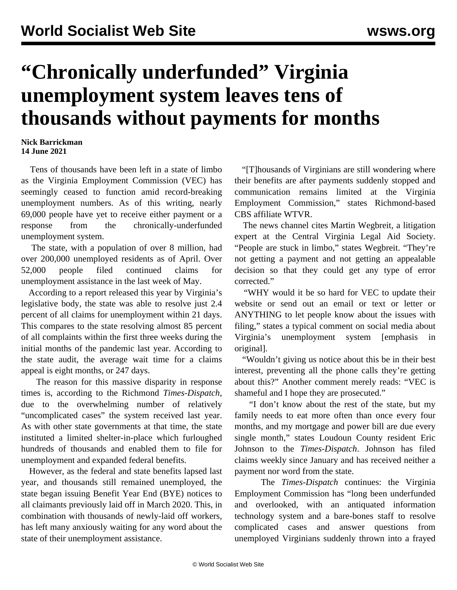## **"Chronically underfunded" Virginia unemployment system leaves tens of thousands without payments for months**

## **Nick Barrickman 14 June 2021**

 Tens of thousands have been left in a state of limbo as the Virginia Employment Commission (VEC) has seemingly ceased to function amid record-breaking unemployment numbers. As of this writing, nearly 69,000 people have yet to receive either payment or a response from the chronically-underfunded unemployment system.

 The state, with a population of over 8 million, had over 200,000 unemployed residents as of April. Over 52,000 people filed continued claims for unemployment assistance in the last week of May.

 According to a report released this year by Virginia's legislative body, the state was able to resolve just 2.4 percent of all claims for unemployment within 21 days. This compares to the state resolving almost 85 percent of all complaints within the first three weeks during the initial months of the pandemic last year. According to the state audit, the average wait time for a claims appeal is eight months, or 247 days.

 The reason for this massive disparity in response times is, according to the Richmond *Times-Dispatch*, due to the overwhelming number of relatively "uncomplicated cases" the system received last year. As with other state governments at that time, the state instituted a [limited shelter-in-place](/en/articles/2020/04/01/shel-a01.html) which furloughed hundreds of thousands and enabled them to file for unemployment and expanded federal benefits.

 However, as the federal and state benefits lapsed last year, and thousands still remained unemployed, the state began issuing Benefit Year End (BYE) notices to all claimants previously laid off in March 2020. This, in combination with thousands of newly-laid off workers, has left many anxiously waiting for any word about the state of their unemployment assistance.

 "[T]housands of Virginians are still wondering where their benefits are after payments suddenly stopped and communication remains limited at the Virginia Employment Commission," states Richmond-based CBS affiliate WTVR.

 The news channel cites Martin Wegbreit, a litigation expert at the Central Virginia Legal Aid Society. "People are stuck in limbo," states Wegbreit. "They're not getting a payment and not getting an appealable decision so that they could get any type of error corrected."

 "WHY would it be so hard for VEC to update their website or send out an email or text or letter or ANYTHING to let people know about the issues with filing," states a typical comment on social media about Virginia's unemployment system [emphasis in original].

 "Wouldn't giving us notice about this be in their best interest, preventing all the phone calls they're getting about this?" Another comment merely reads: "VEC is shameful and I hope they are prosecuted."

 "I don't know about the rest of the state, but my family needs to eat more often than once every four months, and my mortgage and power bill are due every single month," states Loudoun County resident Eric Johnson to the *Times-Dispatch*. Johnson has filed claims weekly since January and has received neither a payment nor word from the state.

 The *Times-Dispatch* continues: the Virginia Employment Commission has "long been underfunded and overlooked, with an antiquated information technology system and a bare-bones staff to resolve complicated cases and answer questions from unemployed Virginians suddenly thrown into a frayed